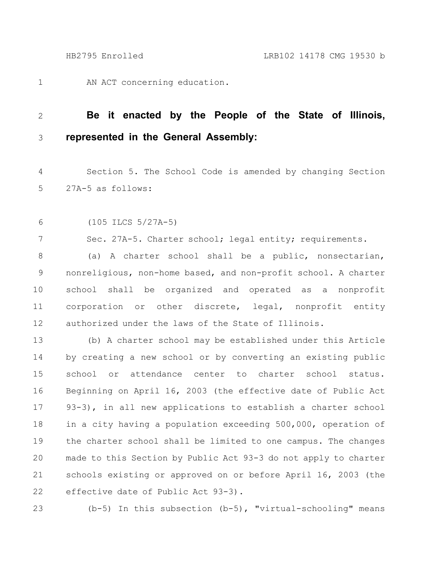AN ACT concerning education. 1

## **Be it enacted by the People of the State of Illinois, represented in the General Assembly:** 2 3

Section 5. The School Code is amended by changing Section 27A-5 as follows: 4 5

(105 ILCS 5/27A-5) 6

7

Sec. 27A-5. Charter school; legal entity; requirements.

(a) A charter school shall be a public, nonsectarian, nonreligious, non-home based, and non-profit school. A charter school shall be organized and operated as a nonprofit corporation or other discrete, legal, nonprofit entity authorized under the laws of the State of Illinois. 8 9 10 11 12

(b) A charter school may be established under this Article by creating a new school or by converting an existing public school or attendance center to charter school status. Beginning on April 16, 2003 (the effective date of Public Act 93-3), in all new applications to establish a charter school in a city having a population exceeding 500,000, operation of the charter school shall be limited to one campus. The changes made to this Section by Public Act 93-3 do not apply to charter schools existing or approved on or before April 16, 2003 (the effective date of Public Act 93-3). 13 14 15 16 17 18 19 20 21 22

23

(b-5) In this subsection (b-5), "virtual-schooling" means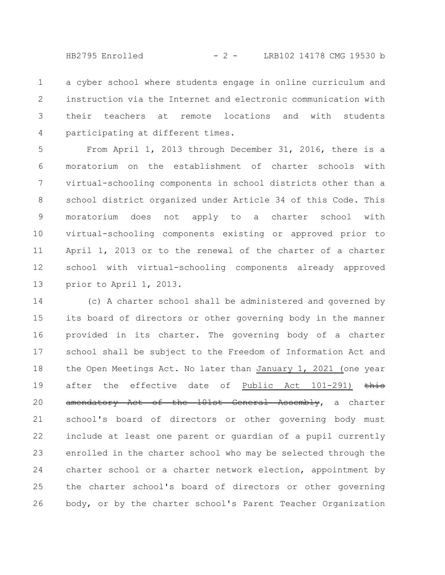HB2795 Enrolled - 2 - LRB102 14178 CMG 19530 b

a cyber school where students engage in online curriculum and instruction via the Internet and electronic communication with their teachers at remote locations and with students participating at different times. 1 2 3 4

From April 1, 2013 through December 31, 2016, there is a moratorium on the establishment of charter schools with virtual-schooling components in school districts other than a school district organized under Article 34 of this Code. This moratorium does not apply to a charter school with virtual-schooling components existing or approved prior to April 1, 2013 or to the renewal of the charter of a charter school with virtual-schooling components already approved prior to April 1, 2013. 5 6 7 8 9 10 11 12 13

(c) A charter school shall be administered and governed by its board of directors or other governing body in the manner provided in its charter. The governing body of a charter school shall be subject to the Freedom of Information Act and the Open Meetings Act. No later than January 1, 2021 (one year after the effective date of Public Act 101-291) this amendatory Act of the 101st General Assembly, a charter school's board of directors or other governing body must include at least one parent or guardian of a pupil currently enrolled in the charter school who may be selected through the charter school or a charter network election, appointment by the charter school's board of directors or other governing body, or by the charter school's Parent Teacher Organization 14 15 16 17 18 19 20 21 22 23 24 25 26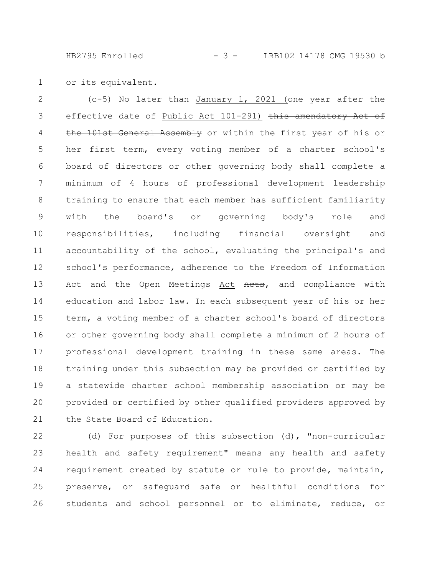HB2795 Enrolled - 3 - LRB102 14178 CMG 19530 b

or its equivalent. 1

(c-5) No later than January 1, 2021 (one year after the effective date of Public Act 101-291) this amendatory Act of the 101st General Assembly or within the first year of his or her first term, every voting member of a charter school's board of directors or other governing body shall complete a minimum of 4 hours of professional development leadership training to ensure that each member has sufficient familiarity with the board's or governing body's role and responsibilities, including financial oversight and accountability of the school, evaluating the principal's and school's performance, adherence to the Freedom of Information Act and the Open Meetings Act Aets, and compliance with education and labor law. In each subsequent year of his or her term, a voting member of a charter school's board of directors or other governing body shall complete a minimum of 2 hours of professional development training in these same areas. The training under this subsection may be provided or certified by a statewide charter school membership association or may be provided or certified by other qualified providers approved by the State Board of Education. 2 3 4 5 6 7 8 9 10 11 12 13 14 15 16 17 18 19 20 21

(d) For purposes of this subsection (d), "non-curricular health and safety requirement" means any health and safety requirement created by statute or rule to provide, maintain, preserve, or safeguard safe or healthful conditions for students and school personnel or to eliminate, reduce, or 22 23 24 25 26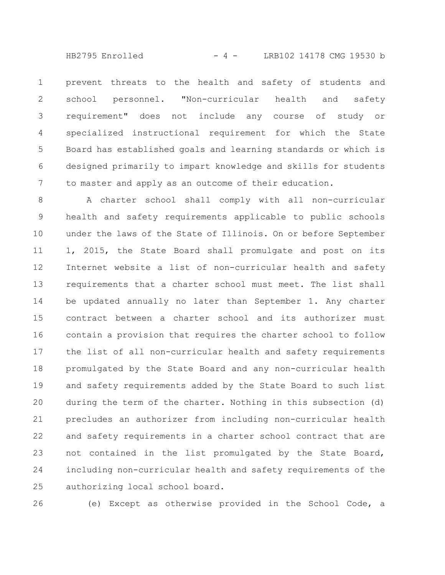HB2795 Enrolled - 4 - LRB102 14178 CMG 19530 b

prevent threats to the health and safety of students and school personnel. "Non-curricular health and safety requirement" does not include any course of study or specialized instructional requirement for which the State Board has established goals and learning standards or which is designed primarily to impart knowledge and skills for students to master and apply as an outcome of their education. 1 2 3 4 5 6 7

A charter school shall comply with all non-curricular health and safety requirements applicable to public schools under the laws of the State of Illinois. On or before September 1, 2015, the State Board shall promulgate and post on its Internet website a list of non-curricular health and safety requirements that a charter school must meet. The list shall be updated annually no later than September 1. Any charter contract between a charter school and its authorizer must contain a provision that requires the charter school to follow the list of all non-curricular health and safety requirements promulgated by the State Board and any non-curricular health and safety requirements added by the State Board to such list during the term of the charter. Nothing in this subsection (d) precludes an authorizer from including non-curricular health and safety requirements in a charter school contract that are not contained in the list promulgated by the State Board, including non-curricular health and safety requirements of the authorizing local school board. 8 9 10 11 12 13 14 15 16 17 18 19 20 21 22 23 24 25

26

(e) Except as otherwise provided in the School Code, a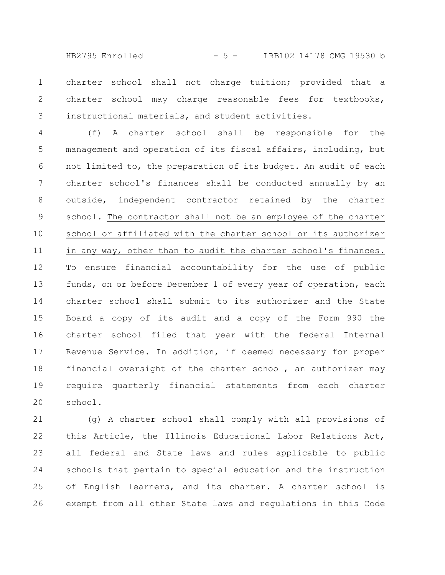HB2795 Enrolled - 5 - LRB102 14178 CMG 19530 b

charter school shall not charge tuition; provided that a charter school may charge reasonable fees for textbooks, instructional materials, and student activities. 1 2 3

(f) A charter school shall be responsible for the management and operation of its fiscal affairs, including, but not limited to, the preparation of its budget. An audit of each charter school's finances shall be conducted annually by an outside, independent contractor retained by the charter school. The contractor shall not be an employee of the charter school or affiliated with the charter school or its authorizer in any way, other than to audit the charter school's finances. To ensure financial accountability for the use of public funds, on or before December 1 of every year of operation, each charter school shall submit to its authorizer and the State Board a copy of its audit and a copy of the Form 990 the charter school filed that year with the federal Internal Revenue Service. In addition, if deemed necessary for proper financial oversight of the charter school, an authorizer may require quarterly financial statements from each charter school. 4 5 6 7 8 9 10 11 12 13 14 15 16 17 18 19 20

(g) A charter school shall comply with all provisions of this Article, the Illinois Educational Labor Relations Act, all federal and State laws and rules applicable to public schools that pertain to special education and the instruction of English learners, and its charter. A charter school is exempt from all other State laws and regulations in this Code 21 22 23 24 25 26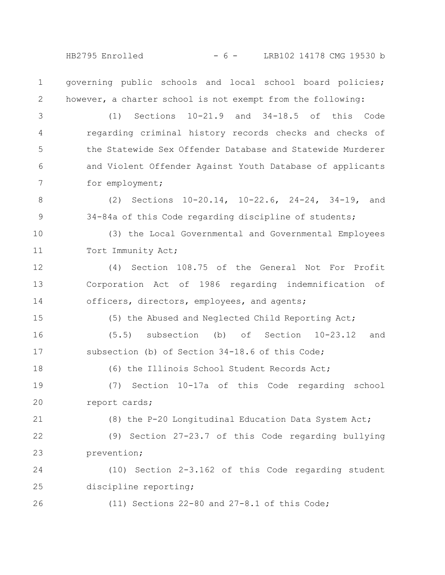HB2795 Enrolled - 6 - LRB102 14178 CMG 19530 b

governing public schools and local school board policies; however, a charter school is not exempt from the following: 1 2

(1) Sections 10-21.9 and 34-18.5 of this Code regarding criminal history records checks and checks of the Statewide Sex Offender Database and Statewide Murderer and Violent Offender Against Youth Database of applicants for employment; 3 4 5 6 7

(2) Sections 10-20.14, 10-22.6, 24-24, 34-19, and 34-84a of this Code regarding discipline of students; 8 9

(3) the Local Governmental and Governmental Employees Tort Immunity Act; 10 11

(4) Section 108.75 of the General Not For Profit Corporation Act of 1986 regarding indemnification of officers, directors, employees, and agents; 12 13 14

(5) the Abused and Neglected Child Reporting Act;

(5.5) subsection (b) of Section 10-23.12 and subsection (b) of Section 34-18.6 of this Code; 16 17

(6) the Illinois School Student Records Act;

(7) Section 10-17a of this Code regarding school report cards; 19 20

(8) the P-20 Longitudinal Education Data System Act;

(9) Section 27-23.7 of this Code regarding bullying prevention; 22 23

(10) Section 2-3.162 of this Code regarding student discipline reporting; 24 25

26

15

18

21

(11) Sections 22-80 and 27-8.1 of this Code;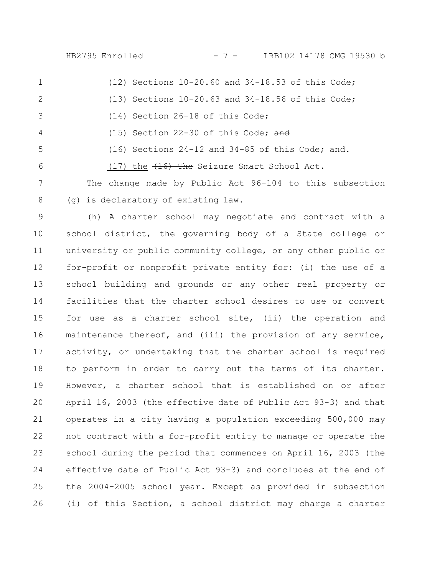HB2795 Enrolled - 7 - LRB102 14178 CMG 19530 b

- (12) Sections 10-20.60 and 34-18.53 of this Code; (13) Sections 10-20.63 and 34-18.56 of this Code; (14) Section 26-18 of this Code; (15) Section 22-30 of this Code;  $\frac{1}{\alpha}$ (16) Sections 24-12 and 34-85 of this Code; and-(17) the  $\left(16\right)$  The Seizure Smart School Act. The change made by Public Act 96-104 to this subsection 1 2 3 4 5 6 7
- (g) is declaratory of existing law. 8

(h) A charter school may negotiate and contract with a school district, the governing body of a State college or university or public community college, or any other public or for-profit or nonprofit private entity for: (i) the use of a school building and grounds or any other real property or facilities that the charter school desires to use or convert for use as a charter school site, (ii) the operation and maintenance thereof, and (iii) the provision of any service, activity, or undertaking that the charter school is required to perform in order to carry out the terms of its charter. However, a charter school that is established on or after April 16, 2003 (the effective date of Public Act 93-3) and that operates in a city having a population exceeding 500,000 may not contract with a for-profit entity to manage or operate the school during the period that commences on April 16, 2003 (the effective date of Public Act 93-3) and concludes at the end of the 2004-2005 school year. Except as provided in subsection (i) of this Section, a school district may charge a charter 9 10 11 12 13 14 15 16 17 18 19 20 21 22 23 24 25 26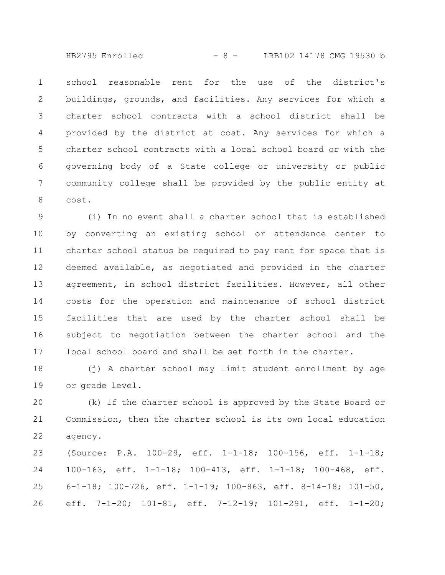HB2795 Enrolled - 8 - LRB102 14178 CMG 19530 b

school reasonable rent for the use of the district's buildings, grounds, and facilities. Any services for which a charter school contracts with a school district shall be provided by the district at cost. Any services for which a charter school contracts with a local school board or with the governing body of a State college or university or public community college shall be provided by the public entity at cost. 1 2 3 4 5 6 7 8

(i) In no event shall a charter school that is established by converting an existing school or attendance center to charter school status be required to pay rent for space that is deemed available, as negotiated and provided in the charter agreement, in school district facilities. However, all other costs for the operation and maintenance of school district facilities that are used by the charter school shall be subject to negotiation between the charter school and the local school board and shall be set forth in the charter. 9 10 11 12 13 14 15 16 17

(j) A charter school may limit student enrollment by age or grade level. 18 19

(k) If the charter school is approved by the State Board or Commission, then the charter school is its own local education agency. 20 21 22

(Source: P.A. 100-29, eff. 1-1-18; 100-156, eff. 1-1-18; 100-163, eff. 1-1-18; 100-413, eff. 1-1-18; 100-468, eff. 6-1-18; 100-726, eff. 1-1-19; 100-863, eff. 8-14-18; 101-50, eff. 7-1-20; 101-81, eff. 7-12-19; 101-291, eff. 1-1-20; 23 24 25 26